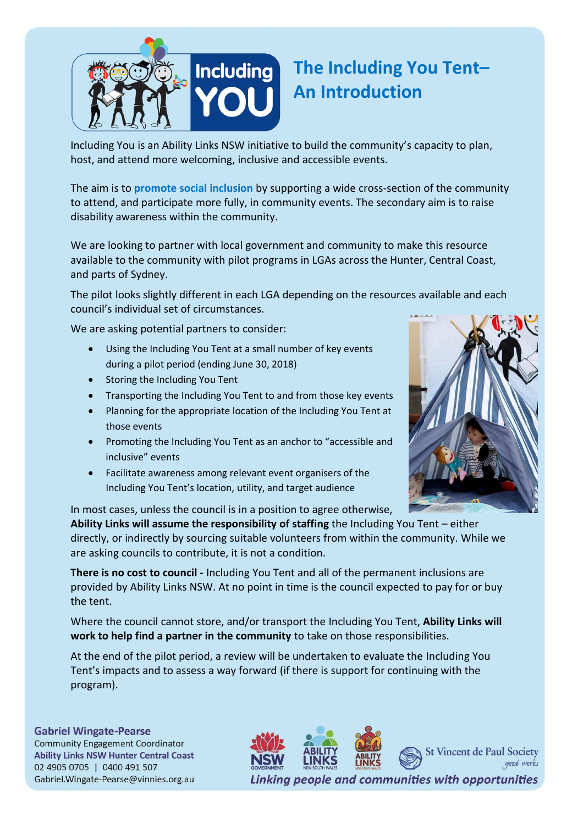

## **The Including You Tent– An Introduction**

Including You is an Ability Links NSW initiative to build the community's capacity to plan, host, and attend more welcoming, inclusive and accessible events.

The aim is to **promote social inclusion** by supporting a wide cross-section of the community to attend, and participate more fully, in community events. The secondary aim is to raise disability awareness within the community.

We are looking to partner with local government and community to make this resource available to the community with pilot programs in LGAs across the Hunter, Central Coast, and parts of Sydney.

The pilot looks slightly different in each LGA depending on the resources available and each council's individual set of circumstances.

We are asking potential partners to consider:

- Using the Including You Tent at a small number of key events during a pilot period (ending June 30, 2018)
- Storing the Including You Tent
- Transporting the Including You Tent to and from those key events
- Planning for the appropriate location of the Including You Tent at those events
- Promoting the Including You Tent as an anchor to "accessible and inclusive" events
- Facilitate awareness among relevant event organisers of the Including You Tent's location, utility, and target audience

In most cases, unless the council is in a position to agree otherwise,

**Ability Links will assume the responsibility of staffing** the Including You Tent – either directly, or indirectly by sourcing suitable volunteers from within the community. While we are asking councils to contribute, it is not a condition.

**There is no cost to council -** Including You Tent and all of the permanent inclusions are provided by Ability Links NSW. At no point in time is the council expected to pay for or buy the tent.

Where the council cannot store, and/or transport the Including You Tent, **Ability Links will work to help find a partner in the community** to take on those responsibilities.

At the end of the pilot period, a review will be undertaken to evaluate the Including You Tent's impacts and to assess a way forward (if there is support for continuing with the program).

**Gabriel Wingate-Pearse Community Engagement Coordinator** 

**Ability Links NSW Hunter Central Coast** 02 4905 0705 | 0400 491 507 Gabriel.Wingate-Pearse@vinnies.org.au